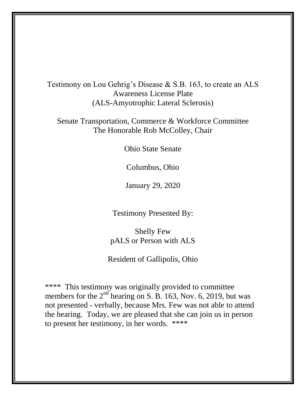Testimony on Lou Gehrig's Disease & S.B. 163, to create an ALS Awareness License Plate (ALS-Amyotrophic Lateral Sclerosis)

Senate Transportation, Commerce & Workforce Committee The Honorable Rob McColley, Chair

Ohio State Senate

Columbus, Ohio

January 29, 2020

Testimony Presented By:

Shelly Few pALS or Person with ALS

Resident of Gallipolis, Ohio

\*\*\*\* This testimony was originally provided to committee members for the  $2<sup>nd</sup>$  hearing on S. B. 163, Nov. 6, 2019, but was not presented - verbally, because Mrs. Few was not able to attend the hearing. Today, we are pleased that she can join us in person to present her testimony, in her words. \*\*\*\*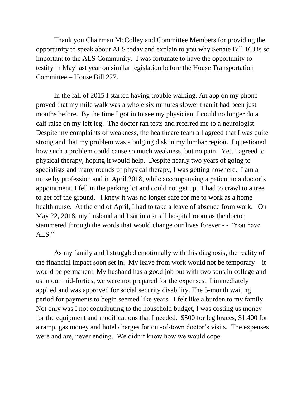Thank you Chairman McColley and Committee Members for providing the opportunity to speak about ALS today and explain to you why Senate Bill 163 is so important to the ALS Community. I was fortunate to have the opportunity to testify in May last year on similar legislation before the House Transportation Committee – House Bill 227.

In the fall of 2015 I started having trouble walking. An app on my phone proved that my mile walk was a whole six minutes slower than it had been just months before. By the time I got in to see my physician, I could no longer do a calf raise on my left leg. The doctor ran tests and referred me to a neurologist. Despite my complaints of weakness, the healthcare team all agreed that I was quite strong and that my problem was a bulging disk in my lumbar region. I questioned how such a problem could cause so much weakness, but no pain. Yet, I agreed to physical therapy, hoping it would help. Despite nearly two years of going to specialists and many rounds of physical therapy, I was getting nowhere. I am a nurse by profession and in April 2018, while accompanying a patient to a doctor's appointment, I fell in the parking lot and could not get up. I had to crawl to a tree to get off the ground. I knew it was no longer safe for me to work as a home health nurse. At the end of April, I had to take a leave of absence from work. On May 22, 2018, my husband and I sat in a small hospital room as the doctor stammered through the words that would change our lives forever - - "You have ALS."

As my family and I struggled emotionally with this diagnosis, the reality of the financial impact soon set in. My leave from work would not be temporary – it would be permanent. My husband has a good job but with two sons in college and us in our mid-forties, we were not prepared for the expenses. I immediately applied and was approved for social security disability. The 5-month waiting period for payments to begin seemed like years. I felt like a burden to my family. Not only was I not contributing to the household budget, I was costing us money for the equipment and modifications that I needed. \$500 for leg braces, \$1,400 for a ramp, gas money and hotel charges for out-of-town doctor's visits. The expenses were and are, never ending. We didn't know how we would cope.